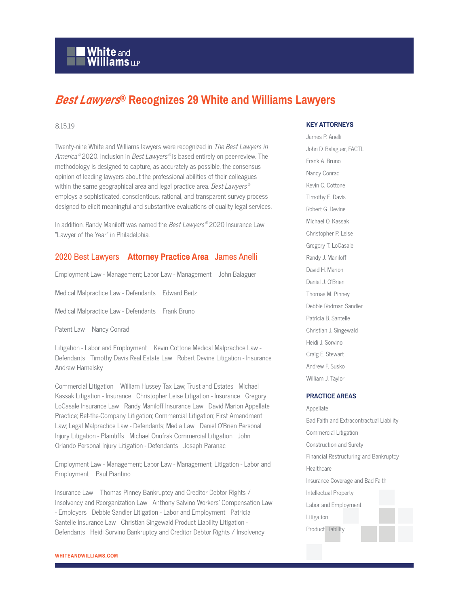# **White and Williams LLP**

# *Best Lawyers***® Recognizes 29 White and Williams Lawyers**

#### 8.15.19

Twenty-nine White and Williams lawyers were recognized in The Best Lawyers in America©2020. Inclusion in *Best Lawyers®* is based entirely on peer-review. The methodology is designed to capture, as accurately as possible, the consensus opinion of leading lawyers about the professional abilities of their colleagues within the same geographical area and legal practice area. *Best Lawyers*  $^\circ$ employs a sophisticated, conscientious, rational, and transparent survey process designed to elicit meaningful and substantive evaluations of quality legal services.

In addition, Randy Maniloff was named the *Best Lawyers®* 2020 Insurance Law "Lawyer of the Year" in Philadelphia.

## 2020 Best Lawyers **Attorney Practice Area** James Anelli

Employment Law - Management; Labor Law - Management John Balaguer

Medical Malpractice Law - Defendants Edward Beitz

Medical Malpractice Law - Defendants Frank Bruno

Patent Law Nancy Conrad

Litigation - Labor and Employment Kevin Cottone Medical Malpractice Law - Defendants Timothy Davis Real Estate Law Robert Devine Litigation - Insurance Andrew Hamelsky

Commercial Litigation William Hussey Tax Law; Trust and Estates Michael Kassak Litigation - Insurance Christopher Leise Litigation - Insurance Gregory LoCasale Insurance Law Randy Maniloff Insurance Law David Marion Appellate Practice; Bet-the-Company Litigation; Commercial Litigation; First Amendment Law; Legal Malpractice Law - Defendants; Media Law Daniel O'Brien Personal Injury Litigation - Plaintiffs Michael Onufrak Commercial Litigation John Orlando Personal Injury Litigation - Defendants Joseph Paranac

Employment Law - Management; Labor Law - Management; Litigation - Labor and Employment Paul Piantino

Insurance Law Thomas Pinney Bankruptcy and Creditor Debtor Rights / Insolvency and Reorganization Law Anthony Salvino Workers' Compensation Law - Employers Debbie Sandler Litigation - Labor and Employment Patricia Santelle Insurance Law Christian Singewald Product Liability Litigation - Defendants Heidi Sorvino Bankruptcy and Creditor Debtor Rights / Insolvency

### **KEY ATTORNEYS**

James P. Anelli John D. Balaguer, FACTL Frank A. Bruno Nancy Conrad Kevin C. Cottone Timothy E. Davis Robert G. Devine Michael O. Kassak Christopher P. Leise Gregory T. LoCasale Randy J. Maniloff David H. Marion Daniel J. O'Brien Thomas M. Pinney Debbie Rodman Sandler Patricia B. Santelle Christian J. Singewald Heidi J. Sorvino Craig E. Stewart Andrew F. Susko William J. Taylor

#### **PRACTICE AREAS**

Appellate Bad Faith and Extracontractual Liability Commercial Litigation Construction and Surety Financial Restructuring and Bankruptcy **Healthcare** Insurance Coverage and Bad Faith Intellectual Property Labor and Employment Litigation Product Liability